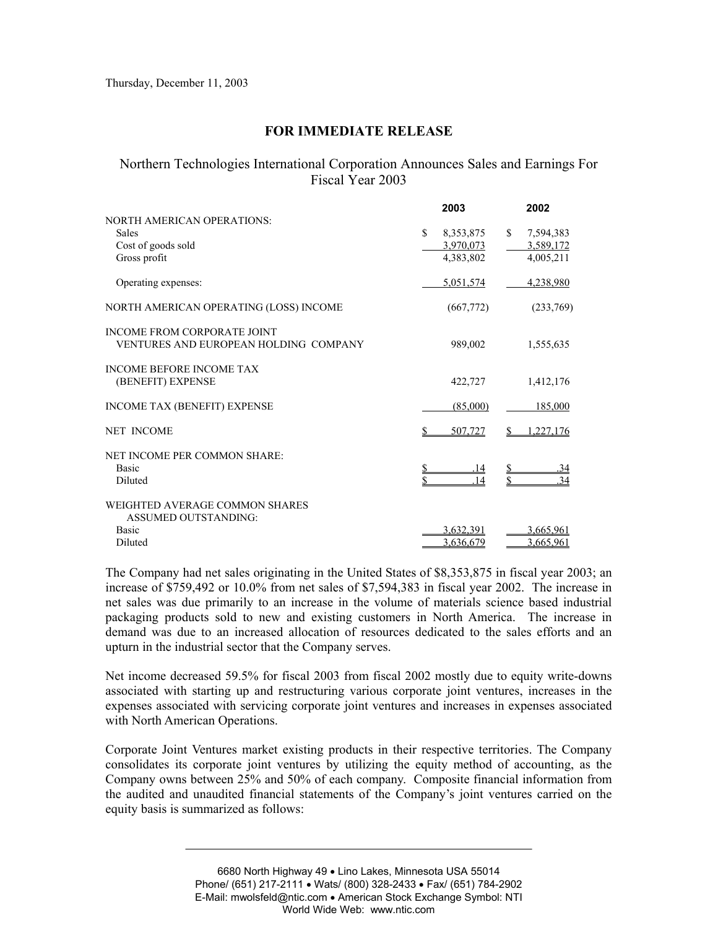## **FOR IMMEDIATE RELEASE**

## Northern Technologies International Corporation Announces Sales and Earnings For Fiscal Year 2003

|                                                                             | 2003            | 2002            |
|-----------------------------------------------------------------------------|-----------------|-----------------|
| <b>NORTH AMERICAN OPERATIONS:</b>                                           |                 |                 |
| <b>Sales</b>                                                                | \$<br>8,353,875 | \$<br>7,594,383 |
| Cost of goods sold                                                          | 3,970,073       | 3,589,172       |
| Gross profit                                                                | 4,383,802       | 4,005,211       |
| Operating expenses:                                                         | 5,051,574       | 4,238,980       |
| NORTH AMERICAN OPERATING (LOSS) INCOME                                      | (667,772)       | (233,769)       |
| <b>INCOME FROM CORPORATE JOINT</b><br>VENTURES AND EUROPEAN HOLDING COMPANY | 989,002         | 1,555,635       |
| <b>INCOME BEFORE INCOME TAX</b><br>(BENEFIT) EXPENSE                        | 422,727         | 1,412,176       |
| INCOME TAX (BENEFIT) EXPENSE                                                | (85,000)        | 185,000         |
| <b>NET INCOME</b>                                                           | 507.727         | .227.176        |
| NET INCOME PER COMMON SHARE:                                                |                 |                 |
| <b>Basic</b>                                                                | 14              | <u>.34</u>      |
| Diluted                                                                     | 14              | $\overline{34}$ |
| WEIGHTED AVERAGE COMMON SHARES<br>ASSUMED OUTSTANDING:                      |                 |                 |
| <b>Basic</b>                                                                | 3.632.391       | 3,665,961       |
| Diluted                                                                     | 3,636,679       | 3,665,961       |
|                                                                             |                 |                 |

The Company had net sales originating in the United States of \$8,353,875 in fiscal year 2003; an increase of \$759,492 or 10.0% from net sales of \$7,594,383 in fiscal year 2002. The increase in net sales was due primarily to an increase in the volume of materials science based industrial packaging products sold to new and existing customers in North America. The increase in demand was due to an increased allocation of resources dedicated to the sales efforts and an upturn in the industrial sector that the Company serves.

Net income decreased 59.5% for fiscal 2003 from fiscal 2002 mostly due to equity write-downs associated with starting up and restructuring various corporate joint ventures, increases in the expenses associated with servicing corporate joint ventures and increases in expenses associated with North American Operations.

Corporate Joint Ventures market existing products in their respective territories. The Company consolidates its corporate joint ventures by utilizing the equity method of accounting, as the Company owns between 25% and 50% of each company. Composite financial information from the audited and unaudited financial statements of the Company's joint ventures carried on the equity basis is summarized as follows: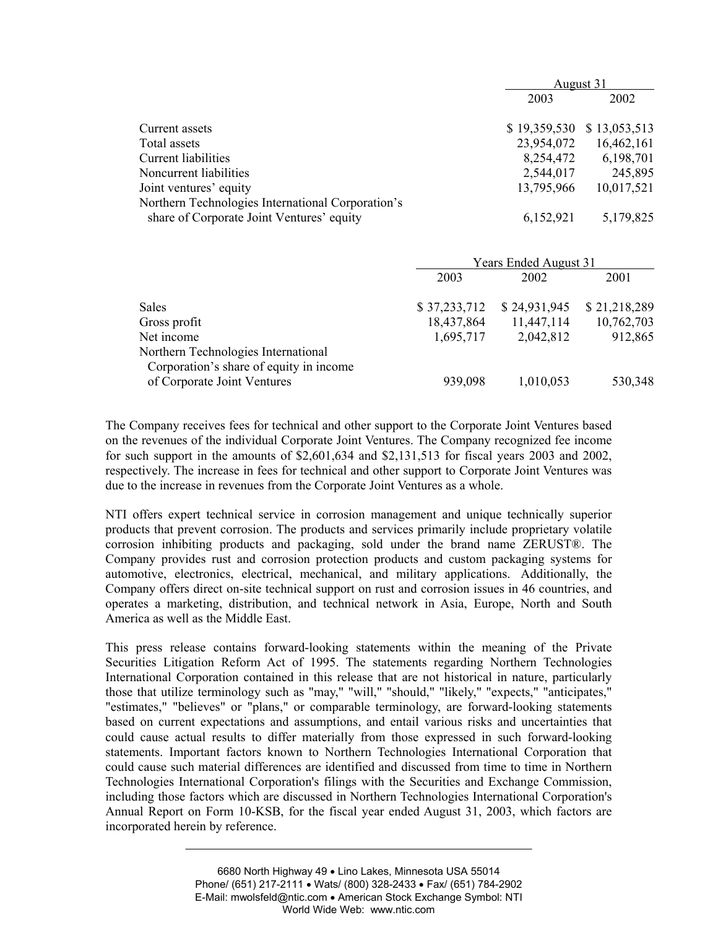|                                                   | August 31    |              |  |
|---------------------------------------------------|--------------|--------------|--|
|                                                   | 2003         | 2002         |  |
| Current assets                                    | \$19,359,530 | \$13,053,513 |  |
| Total assets                                      | 23,954,072   | 16,462,161   |  |
| Current liabilities                               | 8,254,472    | 6,198,701    |  |
| Noncurrent liabilities                            | 2,544,017    | 245,895      |  |
| Joint ventures' equity                            | 13,795,966   | 10,017,521   |  |
| Northern Technologies International Corporation's |              |              |  |
| share of Corporate Joint Ventures' equity         | 6,152,921    | 5,179,825    |  |

|                                                                                | Years Ended August 31 |              |              |  |
|--------------------------------------------------------------------------------|-----------------------|--------------|--------------|--|
|                                                                                | 2003                  | 2002         | 2001         |  |
| <b>Sales</b>                                                                   | \$37,233,712          | \$24,931,945 | \$21,218,289 |  |
| Gross profit                                                                   | 18,437,864            | 11,447,114   | 10,762,703   |  |
| Net income                                                                     | 1,695,717             | 2,042,812    | 912,865      |  |
| Northern Technologies International<br>Corporation's share of equity in income |                       |              |              |  |
| of Corporate Joint Ventures                                                    | 939,098               | 1,010,053    | 530,348      |  |

The Company receives fees for technical and other support to the Corporate Joint Ventures based on the revenues of the individual Corporate Joint Ventures. The Company recognized fee income for such support in the amounts of \$2,601,634 and \$2,131,513 for fiscal years 2003 and 2002, respectively. The increase in fees for technical and other support to Corporate Joint Ventures was due to the increase in revenues from the Corporate Joint Ventures as a whole.

NTI offers expert technical service in corrosion management and unique technically superior products that prevent corrosion. The products and services primarily include proprietary volatile corrosion inhibiting products and packaging, sold under the brand name ZERUST®. The Company provides rust and corrosion protection products and custom packaging systems for automotive, electronics, electrical, mechanical, and military applications. Additionally, the Company offers direct on-site technical support on rust and corrosion issues in 46 countries, and operates a marketing, distribution, and technical network in Asia, Europe, North and South America as well as the Middle East.

This press release contains forward-looking statements within the meaning of the Private Securities Litigation Reform Act of 1995. The statements regarding Northern Technologies International Corporation contained in this release that are not historical in nature, particularly those that utilize terminology such as "may," "will," "should," "likely," "expects," "anticipates," "estimates," "believes" or "plans," or comparable terminology, are forward-looking statements based on current expectations and assumptions, and entail various risks and uncertainties that could cause actual results to differ materially from those expressed in such forward-looking statements. Important factors known to Northern Technologies International Corporation that could cause such material differences are identified and discussed from time to time in Northern Technologies International Corporation's filings with the Securities and Exchange Commission, including those factors which are discussed in Northern Technologies International Corporation's Annual Report on Form 10-KSB, for the fiscal year ended August 31, 2003, which factors are incorporated herein by reference.